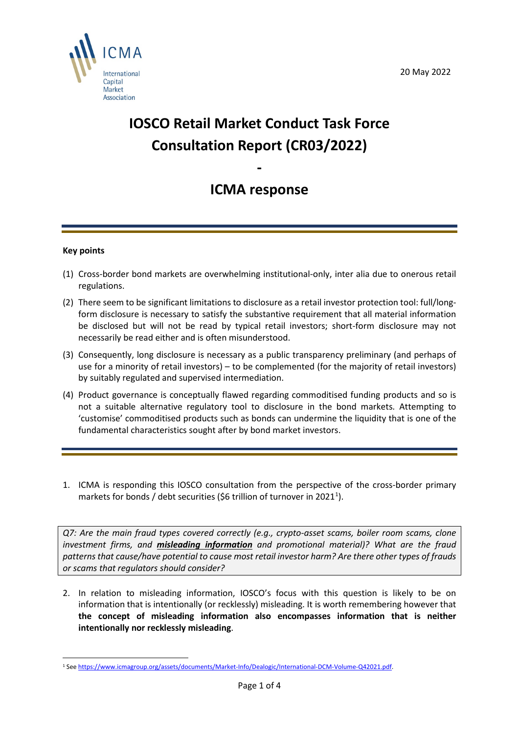

# **IOSCO Retail Market Conduct Task Force Consultation Report (CR03/2022)**

# **ICMA response**

**-** 

## **Key points**

- (1) Cross-border bond markets are overwhelming institutional-only, inter alia due to onerous retail regulations.
- (2) There seem to be significant limitations to disclosure as a retail investor protection tool: full/longform disclosure is necessary to satisfy the substantive requirement that all material information be disclosed but will not be read by typical retail investors; short-form disclosure may not necessarily be read either and is often misunderstood.
- (3) Consequently, long disclosure is necessary as a public transparency preliminary (and perhaps of use for a minority of retail investors) – to be complemented (for the majority of retail investors) by suitably regulated and supervised intermediation.
- (4) Product governance is conceptually flawed regarding commoditised funding products and so is not a suitable alternative regulatory tool to disclosure in the bond markets. Attempting to 'customise' commoditised products such as bonds can undermine the liquidity that is one of the fundamental characteristics sought after by bond market investors.
- 1. ICMA is responding this IOSCO consultation from the perspective of the cross-border primary markets for bonds / debt securities (\$6 trillion of turnover in 202[1](#page-0-0)<sup>1</sup>).

*Q7: Are the main fraud types covered correctly (e.g., crypto-asset scams, boiler room scams, clone investment firms, and misleading information and promotional material)? What are the fraud patterns that cause/have potential to cause most retail investor harm? Are there other types of frauds or scams that regulators should consider?*

2. In relation to misleading information, IOSCO's focus with this question is likely to be on information that is intentionally (or recklessly) misleading. It is worth remembering however that **the concept of misleading information also encompasses information that is neither intentionally nor recklessly misleading**.

<span id="page-0-0"></span><sup>1</sup> Se[e https://www.icmagroup.org/assets/documents/Market-Info/Dealogic/International-DCM-Volume-Q42021.pdf.](https://www.icmagroup.org/assets/documents/Market-Info/Dealogic/International-DCM-Volume-Q42021.pdf)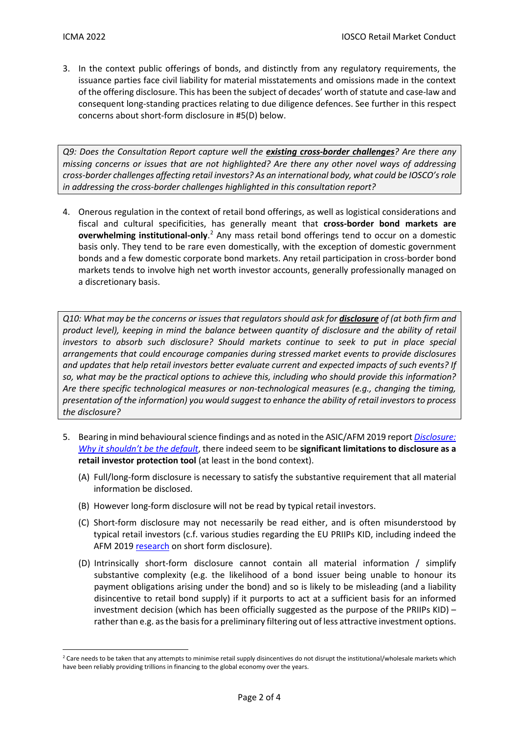3. In the context public offerings of bonds, and distinctly from any regulatory requirements, the issuance parties face civil liability for material misstatements and omissions made in the context of the offering disclosure. This has been the subject of decades' worth of statute and case-law and consequent long-standing practices relating to due diligence defences. See further in this respect concerns about short-form disclosure in #5(D) below.

*Q9: Does the Consultation Report capture well the existing cross-border challenges? Are there any missing concerns or issues that are not highlighted? Are there any other novel ways of addressing cross-border challenges affecting retail investors? As an international body, what could be IOSCO's role in addressing the cross-border challenges highlighted in this consultation report?*

4. Onerous regulation in the context of retail bond offerings, as well as logistical considerations and fiscal and cultural specificities, has generally meant that **cross-border bond markets are**  overwhelming institutional-only.<sup>[2](#page-1-0)</sup> Any mass retail bond offerings tend to occur on a domestic basis only. They tend to be rare even domestically, with the exception of domestic government bonds and a few domestic corporate bond markets. Any retail participation in cross-border bond markets tends to involve high net worth investor accounts, generally professionally managed on a discretionary basis.

*Q10: What may be the concerns or issues that regulators should ask for disclosure of (at both firm and product level), keeping in mind the balance between quantity of disclosure and the ability of retail investors to absorb such disclosure? Should markets continue to seek to put in place special arrangements that could encourage companies during stressed market events to provide disclosures and updates that help retail investors better evaluate current and expected impacts of such events? If so, what may be the practical options to achieve this, including who should provide this information? Are there specific technological measures or non-technological measures (e.g., changing the timing, presentation of the information) you would suggest to enhance the ability of retail investors to process the disclosure?*

- 5. Bearing in mind behavioural science findings and as noted in the ASIC/AFM 2019 report *[Disclosure:](https://download.asic.gov.au/media/5303322/rep632-published-14-october-2019.pdf)  [Why it shouldn't be the default](https://download.asic.gov.au/media/5303322/rep632-published-14-october-2019.pdf)*, there indeed seem to be **significant limitations to disclosure as a retail investor protection tool** (at least in the bond context).
	- (A) Full/long-form disclosure is necessary to satisfy the substantive requirement that all material information be disclosed.
	- (B) However long-form disclosure will not be read by typical retail investors.
	- (C) Short-form disclosure may not necessarily be read either, and is often misunderstood by typical retail investors (c.f. various studies regarding the EU PRIIPs KID, including indeed the AFM 2019 [research](https://www.afm.nl/nl-nl/professionals/onderwerpen/consumentengedrag-artikelen/trial-mandatory-investment) on short form disclosure).
	- (D) Intrinsically short-form disclosure cannot contain all material information / simplify substantive complexity (e.g. the likelihood of a bond issuer being unable to honour its payment obligations arising under the bond) and so is likely to be misleading (and a liability disincentive to retail bond supply) if it purports to act at a sufficient basis for an informed investment decision (which has been officially suggested as the purpose of the PRIIPs KID) – rather than e.g. as the basis for a preliminary filtering out of less attractive investment options.

<span id="page-1-0"></span><sup>&</sup>lt;sup>2</sup> Care needs to be taken that any attempts to minimise retail supply disincentives do not disrupt the institutional/wholesale markets which have been reliably providing trillions in financing to the global economy over the years.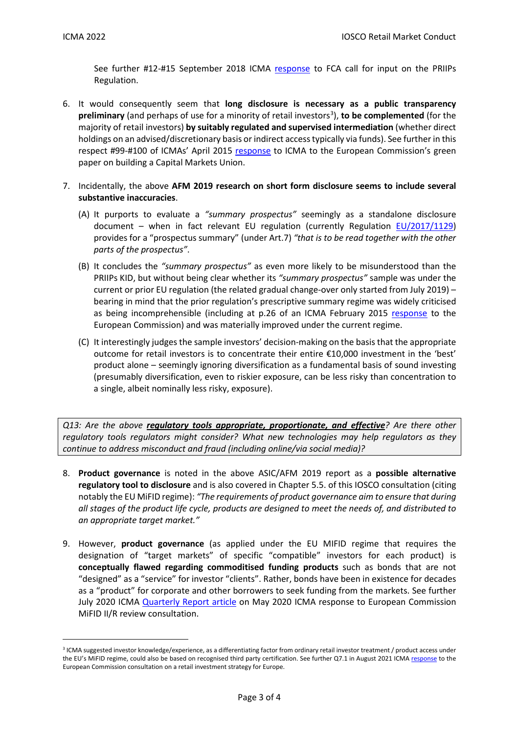See further #12-#15 September 2018 ICMA [response](https://www.icmagroup.org/assets/documents/Regulatory/Primary-Markets/FCA-CFI---ICMA-Resp-2018-09-v3-280918.pdf) to FCA call for input on the PRIIPs Regulation.

- 6. It would consequently seem that **long disclosure is necessary as a public transparency**  preliminary (and perhaps of use for a minority of retail investors<sup>[3](#page-2-0)</sup>), to be complemented (for the majority of retail investors) **by suitably regulated and supervised intermediation** (whether direct holdings on an advised/discretionary basis or indirect access typically via funds). See further in this respect #99-#100 of ICMAs' April 2015 [response](https://www.icmagroup.org/assets/documents/Regulatory/CMU/ICMA-CMU-GP-response-30-April-2015.pdf) to ICMA to the European Commission's green paper on building a Capital Markets Union.
- 7. Incidentally, the above **AFM 2019 research on short form disclosure seems to include several substantive inaccuracies**.
	- (A) It purports to evaluate a *"summary prospectus"* seemingly as a standalone disclosure document – when in fact relevant EU regulation (currently Regulation [EU/2017/1129\)](https://eur-lex.europa.eu/legal-content/EN/TXT/PDF/?uri=CELEX:32017R1129&from=EN) provides for a "prospectus summary" (under Art.7) *"that is to be read together with the other parts of the prospectus"*.
	- (B) It concludes the *"summary prospectus"* as even more likely to be misunderstood than the PRIIPs KID, but without being clear whether its *"summary prospectus"* sample was under the current or prior EU regulation (the related gradual change-over only started from July 2019) – bearing in mind that the prior regulation's prescriptive summary regime was widely criticised as being incomprehensible (including at p.26 of an ICMA February 2015 [response](https://www.icmagroup.org/assets/documents/Regulatory/Prospectuses-Offerings-and-Listings/ICMA-response-to-EC-PD-consultation---FINAL---1-May-2015.pdf) to the European Commission) and was materially improved under the current regime.
	- (C) It interestingly judges the sample investors' decision-making on the basis that the appropriate outcome for retail investors is to concentrate their entire €10,000 investment in the 'best' product alone – seemingly ignoring diversification as a fundamental basis of sound investing (presumably diversification, even to riskier exposure, can be less risky than concentration to a single, albeit nominally less risky, exposure).

*Q13: Are the above regulatory tools appropriate, proportionate, and effective? Are there other regulatory tools regulators might consider? What new technologies may help regulators as they continue to address misconduct and fraud (including online/via social media)?*

- 8. **Product governance** is noted in the above ASIC/AFM 2019 report as a **possible alternative regulatory tool to disclosure** and is also covered in Chapter 5.5. of this IOSCO consultation (citing notably the EU MiFID regime): *"The requirements of product governance aim to ensure that during all stages of the product life cycle, products are designed to meet the needs of, and distributed to an appropriate target market."*
- 9. However, **product governance** (as applied under the EU MIFID regime that requires the designation of "target markets" of specific "compatible" investors for each product) is **conceptually flawed regarding commoditised funding products** such as bonds that are not "designed" as a "service" for investor "clients". Rather, bonds have been in existence for decades as a "product" for corporate and other borrowers to seek funding from the markets. See further July 2020 ICMA [Quarterly Report article](https://www.icmagroup.org/assets/documents/Regulatory/Quarterly_Reports/Articles/MiFID-IIR-review-investor-protection-in-primary-markets-131020.pdf) on May 2020 ICMA response to European Commission MiFID II/R review consultation.

<span id="page-2-0"></span><sup>&</sup>lt;sup>3</sup> ICMA suggested investor knowledge/experience, as a differentiating factor from ordinary retail investor treatment / product access under the EU's MiFID regime, could also be based on recognised third party certification. See further Q7.1 in August 2021 ICM[A response](https://www.icmagroup.org/assets/documents/Regulatory/Primary-Markets/EC-retail-CP-response-FINAL-Qs-answered-030821.pdf) to the European Commission consultation on a retail investment strategy for Europe.